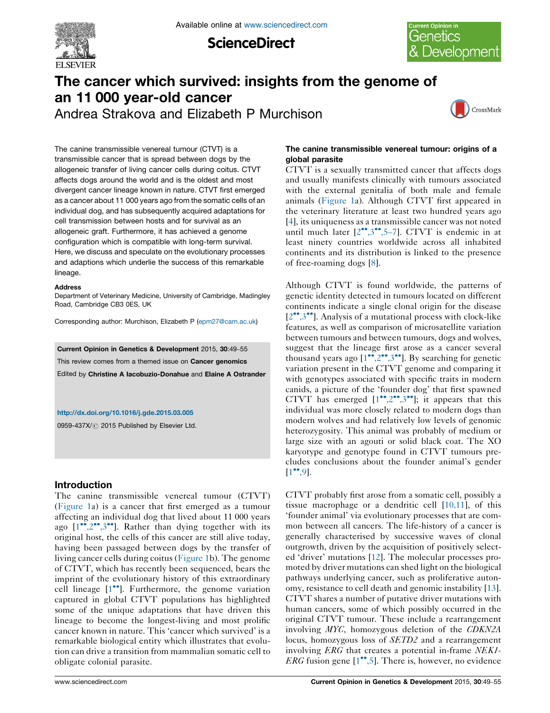

**ScienceDirect** 



# The cancer which survived: insights from the genome of an 11 000 year-old cancer

Andrea Strakova and Elizabeth P Murchison



The canine transmissible venereal tumour (CTVT) is a transmissible cancer that is spread between dogs by the allogeneic transfer of living cancer cells during coitus. CTVT affects dogs around the world and is the oldest and most divergent cancer lineage known in nature. CTVT first emerged as a cancer about 11 000 years ago from the somatic cells of an individual dog, and has subsequently acquired adaptations for cell transmission between hosts and for survival as an allogeneic graft. Furthermore, it has achieved a genome configuration which is compatible with long-term survival. Here, we discuss and speculate on the evolutionary processes and adaptions which underlie the success of this remarkable lineage.

#### Address

Department of Veterinary Medicine, University of Cambridge, Madingley Road, Cambridge CB3 0ES, UK

Corresponding author: Murchison, Elizabeth P [\(epm27@cam.ac.uk](mailto:epm27@cam.ac.uk))

Current Opinion in Genetics & Development 2015, 30:49–55 This review comes from a themed issue on Cancer genomics Edited by Christine A Iacobuzio-Donahue and Elaine A Ostrander

<http://dx.doi.org/10.1016/j.gde.2015.03.005>

0959-437X/ 2015 Published by Elsevier Ltd.

## Introduction

The canine transmissible venereal tumour (CTVT) [\(Figure](#page-1-0) 1a) is a cancer that first emerged as a tumour affecting an individual dog that lived about 11 000 years ago [\[1](#page-4-0)"[,2](#page-4-0)"[,3](#page-4-0)"]. Rather than dying together with its original host, the cells of this cancer are still alive today, having been passaged between dogs by the transfer of living cancer cells during coitus ([Figure](#page-1-0) 1b). The genome of CTVT, which has recently been sequenced, bears the imprint of the evolutionary history of this extraordinary cell lineage [[1](#page-4-0)<sup>••</sup>]. Furthermore, the genome variation captured in global CTVT populations has highlighted some of the unique adaptations that have driven this lineage to become the longest-living and most prolific cancer known in nature. This 'cancer which survived' is a remarkable biological entity which illustrates that evolution can drive a transition from mammalian somatic cell to obligate colonial parasite.

## The canine transmissible venereal tumour: origins of a global parasite

CTVT is a sexually transmitted cancer that affects dogs and usually manifests clinically with tumours associated with the external genitalia of both male and female animals ([Figure](#page-1-0) 1a). Although CTVT first appeared in the veterinary literature at least two hundred years ago [[4](#page-4-0)], its uniqueness as a transmissible cancer was not noted until much later  $[2^{\bullet\bullet},3^{\bullet\bullet},5-7]$  $[2^{\bullet\bullet},3^{\bullet\bullet},5-7]$  $[2^{\bullet\bullet},3^{\bullet\bullet},5-7]$  $[2^{\bullet\bullet},3^{\bullet\bullet},5-7]$  $[2^{\bullet\bullet},3^{\bullet\bullet},5-7]$  $[2^{\bullet\bullet},3^{\bullet\bullet},5-7]$ . CTVT is endemic in at least ninety countries worldwide across all inhabited continents and its distribution is linked to the presence of free-roaming dogs [[8\]](#page-4-0).

Although CTVT is found worldwide, the patterns of genetic identity detected in tumours located on different continents indicate a single clonal origin for the disease [[2](#page-4-0)\*[,3](#page-4-0)\*\*]. Analysis of a mutational process with clock-like features, as well as comparison of microsatellite variation between tumours and between tumours, dogs and wolves, suggest that the lineage first arose as a cancer several thousand years ago  $[1^{\bullet\bullet}, 2^{\bullet\bullet}, 3^{\bullet\bullet}]$  $[1^{\bullet\bullet}, 2^{\bullet\bullet}, 3^{\bullet\bullet}]$  $[1^{\bullet\bullet}, 2^{\bullet\bullet}, 3^{\bullet\bullet}]$ . By searching for genetic variation present in the CTVT genome and comparing it with genotypes associated with specific traits in modern canids, a picture of the 'founder dog' that first spawned CTVT has emerged  $[1^{\bullet\bullet}, 2^{\bullet\bullet}, 3^{\bullet\bullet}]$  $[1^{\bullet\bullet}, 2^{\bullet\bullet}, 3^{\bullet\bullet}]$ ; it appears that this individual was more closely related to modern dogs than modern wolves and had relatively low levels of genomic heterozygosity. This animal was probably of medium or large size with an agouti or solid black coat. The XO karyotype and genotype found in CTVT tumours precludes conclusions about the founder animal's gender  $[1^{\bullet\bullet}, 9].$  $[1^{\bullet\bullet}, 9].$  $[1^{\bullet\bullet}, 9].$ 

CTVT probably first arose from a somatic cell, possibly a tissue macrophage or a dendritic cell [\[10,11\]](#page-5-0), of this 'founder animal' via evolutionary processes that are common between all cancers. The life-history of a cancer is generally characterised by successive waves of clonal outgrowth, driven by the acquisition of positively selected 'driver' mutations [[12\]](#page-5-0). The molecular processes promoted by driver mutations can shed light on the biological pathways underlying cancer, such as proliferative autonomy, resistance to cell death and genomic instability [[13\]](#page-5-0). CTVT shares a number of putative driver mutations with human cancers, some of which possibly occurred in the original CTVT tumour. These include a rearrangement involving MYC, homozygous deletion of the CDKN2A locus, homozygous loss of *SETD2* and a rearrangement involving ERG that creates a potential in-frame NEK1- ERG fusion gene  $[1^{\bullet\bullet}, 5]$  $[1^{\bullet\bullet}, 5]$ . There is, however, no evidence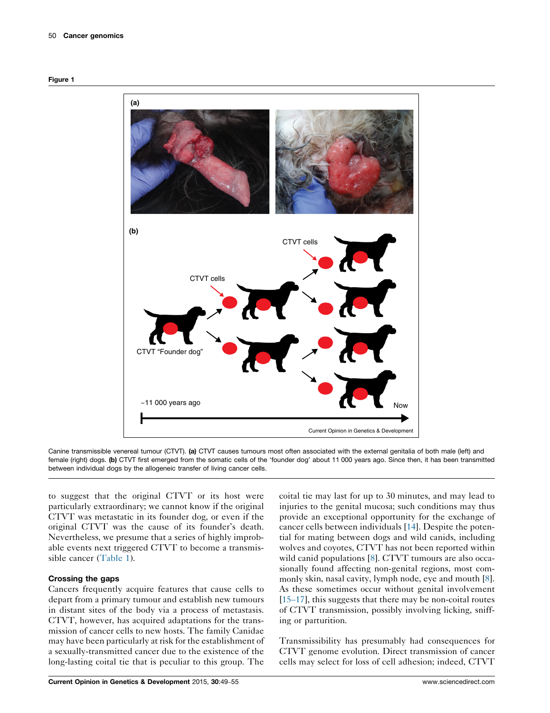<span id="page-1-0"></span>



Canine transmissible venereal tumour (CTVT). (a) CTVT causes tumours most often associated with the external genitalia of both male (left) and female (right) dogs. (b) CTVT first emerged from the somatic cells of the 'founder dog' about 11 000 years ago. Since then, it has been transmitted between individual dogs by the allogeneic transfer of living cancer cells.

to suggest that the original CTVT or its host were particularly extraordinary; we cannot know if the original CTVT was metastatic in its founder dog, or even if the original CTVT was the cause of its founder's death. Nevertheless, we presume that a series of highly improbable events next triggered CTVT to become a transmissible cancer [\(Table](#page-2-0) 1).

## Crossing the gaps

Cancers frequently acquire features that cause cells to depart from a primary tumour and establish new tumours in distant sites of the body via a process of metastasis. CTVT, however, has acquired adaptations for the transmission of cancer cells to new hosts. The family Canidae may have been particularly at risk for the establishment of a sexually-transmitted cancer due to the existence of the long-lasting coital tie that is peculiar to this group. The

coital tie may last for up to 30 minutes, and may lead to injuries to the genital mucosa; such conditions may thus provide an exceptional opportunity for the exchange of cancer cells between individuals [\[14](#page-5-0)]. Despite the potential for mating between dogs and wild canids, including wolves and coyotes, CTVT has not been reported within wild canid populations [[8\]](#page-4-0). CTVT tumours are also occasionally found affecting non-genital regions, most commonly skin, nasal cavity, lymph node, eye and mouth [[8](#page-4-0)]. As these sometimes occur without genital involvement [\[15](#page-5-0)–17], this suggests that there may be non-coital routes of CTVT transmission, possibly involving licking, sniffing or parturition.

Transmissibility has presumably had consequences for CTVT genome evolution. Direct transmission of cancer cells may select for loss of cell adhesion; indeed, CTVT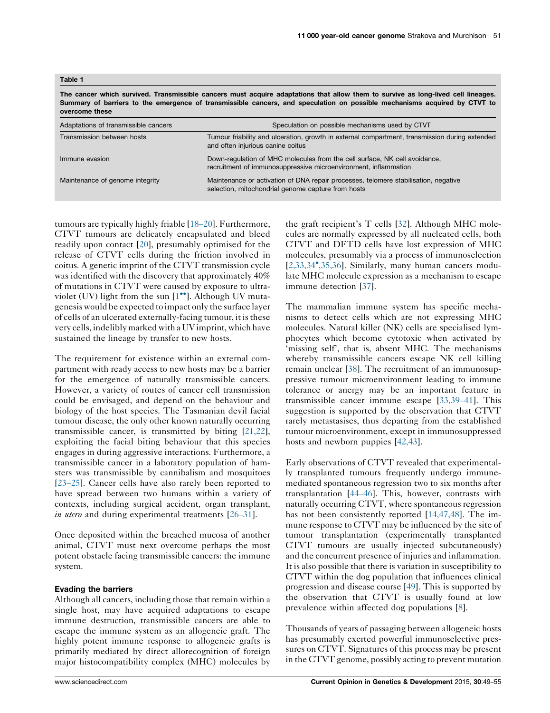<span id="page-2-0"></span>

| Table |  |
|-------|--|
|-------|--|

The cancer which survived. Transmissible cancers must acquire adaptations that allow them to survive as long-lived cell lineages. Summary of barriers to the emergence of transmissible cancers, and speculation on possible mechanisms acquired by CTVT to overcome these

| Adaptations of transmissible cancers | Speculation on possible mechanisms used by CTVT                                                                                               |
|--------------------------------------|-----------------------------------------------------------------------------------------------------------------------------------------------|
| Transmission between hosts           | Tumour friability and ulceration, growth in external compartment, transmission during extended<br>and often injurious canine coitus           |
| Immune evasion                       | Down-regulation of MHC molecules from the cell surface, NK cell avoidance,<br>recruitment of immunosuppressive microenvironment, inflammation |
| Maintenance of genome integrity      | Maintenance or activation of DNA repair processes, telomere stabilisation, negative<br>selection, mitochondrial genome capture from hosts     |

tumours are typically highly friable [18–[20\]](#page-5-0). Furthermore, CTVT tumours are delicately encapsulated and bleed readily upon contact [\[20](#page-5-0)], presumably optimised for the release of CTVT cells during the friction involved in coitus. A genetic imprint of the CTVT transmission cycle was identified with the discovery that approximately 40% of mutations in CTVT were caused by exposure to ultraviolet (UV) light from the sun  $[1^{\bullet\bullet}]$  $[1^{\bullet\bullet}]$ . Although UV mutagenesis would be expected to impact only the surface layer of cells of an ulcerated externally-facing tumour, it is these very cells, indelibly marked with aUVimprint, which have sustained the lineage by transfer to new hosts.

The requirement for existence within an external compartment with ready access to new hosts may be a barrier for the emergence of naturally transmissible cancers. However, a variety of routes of cancer cell transmission could be envisaged, and depend on the behaviour and biology of the host species. The Tasmanian devil facial tumour disease, the only other known naturally occurring transmissible cancer, is transmitted by biting [[21,22](#page-5-0)], exploiting the facial biting behaviour that this species engages in during aggressive interactions. Furthermore, a transmissible cancer in a laboratory population of hamsters was transmissible by cannibalism and mosquitoes [\[23](#page-5-0)–25]. Cancer cells have also rarely been reported to have spread between two humans within a variety of contexts, including surgical accident, organ transplant, in utero and during experimental treatments [\[26](#page-5-0)–31].

Once deposited within the breached mucosa of another animal, CTVT must next overcome perhaps the most potent obstacle facing transmissible cancers: the immune system.

#### Evading the barriers

Although all cancers, including those that remain within a single host, may have acquired adaptations to escape immune destruction, transmissible cancers are able to escape the immune system as an allogeneic graft. The highly potent immune response to allogeneic grafts is primarily mediated by direct allorecognition of foreign major histocompatibility complex (MHC) molecules by the graft recipient's T cells [\[32](#page-5-0)]. Although MHC molecules are normally expressed by all nucleated cells, both CTVT and DFTD cells have lost expression of MHC molecules, presumably via a process of immunoselection [[2,33,34](#page-4-0)- [,35,36](#page-4-0)]. Similarly, many human cancers modulate MHC molecule expression as a mechanism to escape immune detection [[37\]](#page-5-0).

The mammalian immune system has specific mechanisms to detect cells which are not expressing MHC molecules. Natural killer (NK) cells are specialised lymphocytes which become cytotoxic when activated by 'missing self', that is, absent MHC. The mechanisms whereby transmissible cancers escape NK cell killing remain unclear [[38\]](#page-5-0). The recruitment of an immunosuppressive tumour microenvironment leading to immune tolerance or anergy may be an important feature in transmissible cancer immune escape [[33,39](#page-5-0)–41]. This suggestion is supported by the observation that CTVT rarely metastasises, thus departing from the established tumour microenvironment, except in immunosuppressed hosts and newborn puppies [[42,43\]](#page-5-0).

Early observations of CTVT revealed that experimentally transplanted tumours frequently undergo immunemediated spontaneous regression two to six months after transplantation [44–[46\]](#page-5-0). This, however, contrasts with naturally occurring CTVT, where spontaneous regression has not been consistently reported [[14,47,48\]](#page-5-0). The immune response to CTVT may be influenced by the site of tumour transplantation (experimentally transplanted CTVT tumours are usually injected subcutaneously) and the concurrent presence of injuries and inflammation. It is also possible that there is variation in susceptibility to CTVT within the dog population that influences clinical progression and disease course [[49\]](#page-5-0). This is supported by the observation that CTVT is usually found at low prevalence within affected dog populations [[8\]](#page-4-0).

Thousands of years of passaging between allogeneic hosts has presumably exerted powerful immunoselective pressures on CTVT. Signatures of this process may be present in the CTVT genome, possibly acting to prevent mutation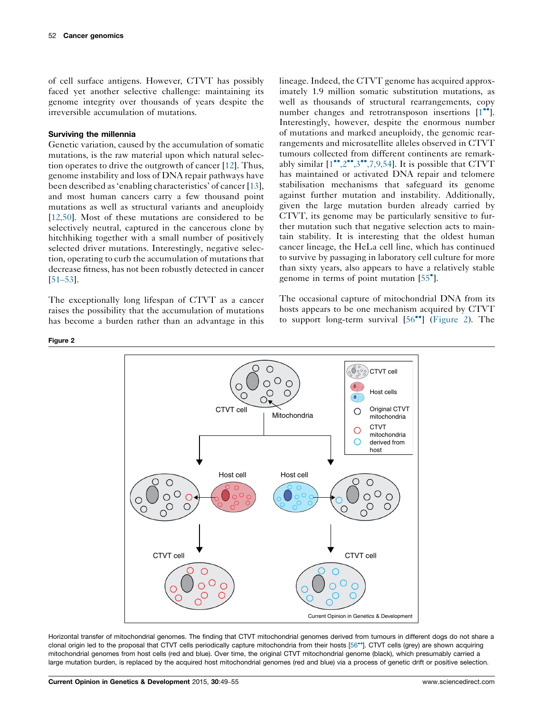of cell surface antigens. However, CTVT has possibly faced yet another selective challenge: maintaining its genome integrity over thousands of years despite the irreversible accumulation of mutations.

## Surviving the millennia

Genetic variation, caused by the accumulation of somatic mutations, is the raw material upon which natural selection operates to drive the outgrowth of cancer [[12\]](#page-5-0). Thus, genome instability and loss of DNA repair pathways have been described as 'enabling characteristics' of cancer [\[13](#page-5-0)], and most human cancers carry a few thousand point mutations as well as structural variants and aneuploidy [\[12,50\]](#page-5-0). Most of these mutations are considered to be selectively neutral, captured in the cancerous clone by hitchhiking together with a small number of positively selected driver mutations. Interestingly, negative selection, operating to curb the accumulation of mutations that decrease fitness, has not been robustly detected in cancer [\[51](#page-6-0)–53].

The exceptionally long lifespan of CTVT as a cancer raises the possibility that the accumulation of mutations has become a burden rather than an advantage in this

lineage. Indeed, the CTVT genome has acquired approximately 1.9 million somatic substitution mutations, as well as thousands of structural rearrangements, copy number changes and retrotransposon insertions [\[1](#page-4-0)<sup>••</sup>]. Interestingly, however, despite the enormous number of mutations and marked aneuploidy, the genomic rearrangements and microsatellite alleles observed in CTVT tumours collected from different continents are remarkably similar  $[1^{\bullet\bullet}, 2^{\bullet\bullet}, 7, 9, 54]$  $[1^{\bullet\bullet}, 2^{\bullet\bullet}, 7, 9, 54]$  $[1^{\bullet\bullet}, 2^{\bullet\bullet}, 7, 9, 54]$ . It is possible that CTVT has maintained or activated DNA repair and telomere stabilisation mechanisms that safeguard its genome against further mutation and instability. Additionally, given the large mutation burden already carried by CTVT, its genome may be particularly sensitive to further mutation such that negative selection acts to maintain stability. It is interesting that the oldest human cancer lineage, the HeLa cell line, which has continued to survive by passaging in laboratory cell culture for more than sixty years, also appears to have a relatively stable genome in terms of point mutation [[55](#page-6-0)<sup>°</sup>].

The occasional capture of mitochondrial DNA from its hosts appears to be one mechanism acquired by CTVT to support long-term survival [\[56](#page-6-0)<sup>••</sup>] (Figure 2). The



Horizontal transfer of mitochondrial genomes. The finding that CTVT mitochondrial genomes derived from tumours in different dogs do not share a clonal origin led to the proposal that CTVT cells periodically capture mitochondria from their hosts [\[56](#page-6-0)\*\*]. CTVT cells (grey) are shown acquiring mitochondrial genomes from host cells (red and blue). Over time, the original CTVT mitochondrial genome (black), which presumably carried a large mutation burden, is replaced by the acquired host mitochondrial genomes (red and blue) via a process of genetic drift or positive selection.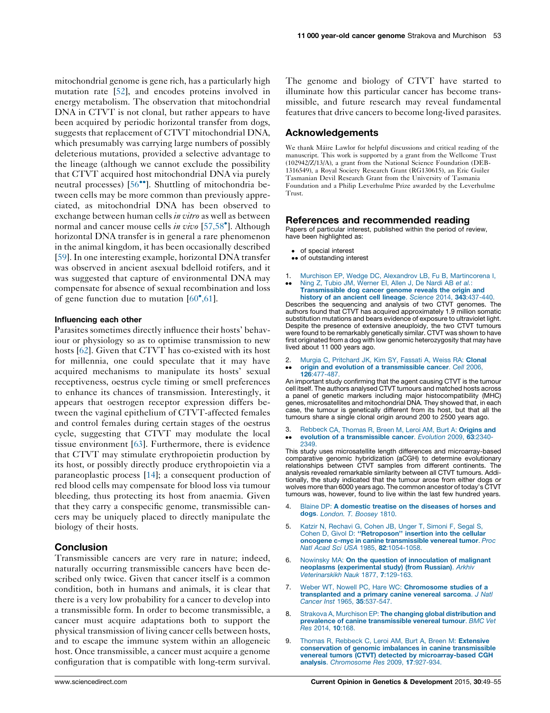<span id="page-4-0"></span>mitochondrial genome is gene rich, has a particularly high mutation rate [\[52](#page-6-0)], and encodes proteins involved in energy metabolism. The observation that mitochondrial DNA in CTVT is not clonal, but rather appears to have been acquired by periodic horizontal transfer from dogs, suggests that replacement of CTVT mitochondrial DNA, which presumably was carrying large numbers of possibly deleterious mutations, provided a selective advantage to the lineage (although we cannot exclude the possibility that CTVT acquired host mitochondrial DNA via purely neutral processes) [\[56](#page-6-0)<sup>\*</sup>]. Shuttling of mitochondria between cells may be more common than previously appreciated, as mitochondrial DNA has been observed to exchange between human cells in vitro as well as between normal and cancer mouse cells in vivo [\[57,58](#page-6-0)<sup>°</sup>]. Although horizontal DNA transfer is in general a rare phenomenon in the animal kingdom, it has been occasionally described [\[59](#page-6-0)]. In one interesting example, horizontal DNA transfer was observed in ancient asexual bdelloid rotifers, and it was suggested that capture of environmental DNA may compensate for absence of sexual recombination and loss of gene function due to mutation  $[60^{\circ}, 61]$  $[60^{\circ}, 61]$ .

#### Influencing each other

Parasites sometimes directly influence their hosts' behaviour or physiology so as to optimise transmission to new hosts [\[62](#page-6-0)]. Given that CTVT has co-existed with its host for millennia, one could speculate that it may have acquired mechanisms to manipulate its hosts' sexual receptiveness, oestrus cycle timing or smell preferences to enhance its chances of transmission. Interestingly, it appears that oestrogen receptor expression differs between the vaginal epithelium of CTVT-affected females and control females during certain stages of the oestrus cycle, suggesting that CTVT may modulate the local tissue environment [\[63](#page-6-0)]. Furthermore, there is evidence that CTVT may stimulate erythropoietin production by its host, or possibly directly produce erythropoietin via a paraneoplastic process [\[14](#page-5-0)]; a consequent production of red blood cells may compensate for blood loss via tumour bleeding, thus protecting its host from anaemia. Given that they carry a conspecific genome, transmissible cancers may be uniquely placed to directly manipulate the biology of their hosts.

## **Conclusion**

Transmissible cancers are very rare in nature; indeed, naturally occurring transmissible cancers have been described only twice. Given that cancer itself is a common condition, both in humans and animals, it is clear that there is a very low probability for a cancer to develop into a transmissible form. In order to become transmissible, a cancer must acquire adaptations both to support the physical transmission of living cancer cells between hosts, and to escape the immune system within an allogeneic host. Once transmissible, a cancer must acquire a genome configuration that is compatible with long-term survival. The genome and biology of CTVT have started to illuminate how this particular cancer has become transmissible, and future research may reveal fundamental features that drive cancers to become long-lived parasites.

# Acknowledgements

We thank Máire Lawlor for helpful discussions and critical reading of the manuscript. This work is supported by a grant from the Wellcome Trust (102942/Z/13/A), a grant from the National Science Foundation (DEB-1316549), a Royal Society Research Grant (RG130615), an Eric Guiler Tasmanian Devil Research Grant from the University of Tasmania Foundation and a Philip Leverhulme Prize awarded by the Leverhulme Trust.

## References and recommended reading

Papers of particular interest, published within the period of review, have been highlighted as:

- of special interest
- •• of outstanding interest
- 1. Murchison EP, Wedge DC, Alexandrov LB, Fu B, [Martincorena](http://refhub.elsevier.com/S0959-437X(15)00026-X/sbref0005) I, Ning Z, Tubio JM, [Werner](http://refhub.elsevier.com/S0959-437X(15)00026-X/sbref0005) EI, Allen J, De Nardi AB et al.:
- --[Transmissible](http://refhub.elsevier.com/S0959-437X(15)00026-X/sbref0005) dog cancer genome reveals the origin and history of an ancient cell lineage. Science 2014, 343[:437-440.](http://refhub.elsevier.com/S0959-437X(15)00026-X/sbref0005)

Describes the sequencing and analysis of two CTVT genomes. The authors found that CTVT has acquired approximately 1.9 million somatic substitution mutations and bears evidence of exposure to ultraviolet light. Despite the presence of extensive aneuploidy, the two CTVT tumours were found to be remarkably genetically similar. CTVT was shown to have first originated from a dog with low genomic heterozygosity that may have lived about 11 000 years ago.

2.  $\bullet \bullet$ Murgia C, [Pritchard](http://refhub.elsevier.com/S0959-437X(15)00026-X/sbref0010) JK, Kim SY, Fassati A, Weiss RA: Clonal origin and evolution of a [transmissible](http://refhub.elsevier.com/S0959-437X(15)00026-X/sbref0010) cancer. Cell 2006, 126[:477-487.](http://refhub.elsevier.com/S0959-437X(15)00026-X/sbref0010)

An important study confirming that the agent causing CTVT is the tumour cell itself. The authors analysed CTVT tumours and matched hosts across a panel of genetic markers including major histocompatibility (MHC) genes, microsatellites and mitochondrial DNA. They showed that, in each case, the tumour is genetically different from its host, but that all the tumours share a single clonal origin around 200 to 2500 years ago.

3. --[Rebbeck](http://refhub.elsevier.com/S0959-437X(15)00026-X/sbref0015) CA, Thomas R, Breen M, Leroi AM, Burt A: Origins and evolution of a [transmissible](http://refhub.elsevier.com/S0959-437X(15)00026-X/sbref0015) cancer. Evolution 2009, 63:2340-[2349.](http://refhub.elsevier.com/S0959-437X(15)00026-X/sbref0015)

This study uses microsatellite length differences and microarray-based comparative genomic hybridization (aCGH) to determine evolutionary relationships between CTVT samples from different continents. The analysis revealed remarkable similarity between all CTVT tumours. Additionally, the study indicated that the tumour arose from either dogs or wolves more than 6000 years ago. The common ancestor of today's CTVT tumours was, however, found to live within the last few hundred years.

- 4. Blaine DP: A [domestic](http://refhub.elsevier.com/S0959-437X(15)00026-X/sbref0020) treatise on the diseases of horses and dogs. [London.](http://refhub.elsevier.com/S0959-437X(15)00026-X/sbref0020) T. Boosey 1810.
- 5. Katzir N, [Rechavi](http://refhub.elsevier.com/S0959-437X(15)00026-X/sbref0025) G, Cohen JB, Unger T, Simoni F, Segal S, Cohen D, Givol D: [''Retroposon''](http://refhub.elsevier.com/S0959-437X(15)00026-X/sbref0025) insertion into the cellular oncogene c-myc in canine [transmissible](http://refhub.elsevier.com/S0959-437X(15)00026-X/sbref0025) venereal tumor. Proc Natl Acad Sci USA 1985, 82[:1054-1058.](http://refhub.elsevier.com/S0959-437X(15)00026-X/sbref0025)
- Nowinsky MA: On the question of [innoculation](http://refhub.elsevier.com/S0959-437X(15)00026-X/sbref0030) of malignant neoplasms [\(experimental](http://refhub.elsevier.com/S0959-437X(15)00026-X/sbref0030) study) (from Russian). Arkhiv [Veterinarskikh](http://refhub.elsevier.com/S0959-437X(15)00026-X/sbref0030) Nauk 1877, 7:129-163.
- 7. Weber WT, Nowell PC, Hare WC: [Chromosome](http://refhub.elsevier.com/S0959-437X(15)00026-X/sbref0035) studies of a [transplanted](http://refhub.elsevier.com/S0959-437X(15)00026-X/sbref0035) and a primary canine venereal sarcoma. J Natl Cancer Inst 1965, 35[:537-547.](http://refhub.elsevier.com/S0959-437X(15)00026-X/sbref0035)
- 8. Strakova A, Murchison EP: The changing global [distribution](http://refhub.elsevier.com/S0959-437X(15)00026-X/sbref0040) and prevalence of canine [transmissible](http://refhub.elsevier.com/S0959-437X(15)00026-X/sbref0040) venereal tumour. BMC Vet Res [2014,](http://refhub.elsevier.com/S0959-437X(15)00026-X/sbref0040) 10:168.
- Thomas R, Rebbeck C, Leroi AM, Burt A, Breen M: [Extensive](http://refhub.elsevier.com/S0959-437X(15)00026-X/sbref0045) conservation of genomic imbalances in canine [transmissible](http://refhub.elsevier.com/S0959-437X(15)00026-X/sbref0045) venereal tumors (CTVT) detected by [microarray-based](http://refhub.elsevier.com/S0959-437X(15)00026-X/sbref0045) CGH analysis. [Chromosome](http://refhub.elsevier.com/S0959-437X(15)00026-X/sbref0045) Res 2009, 17:927-934.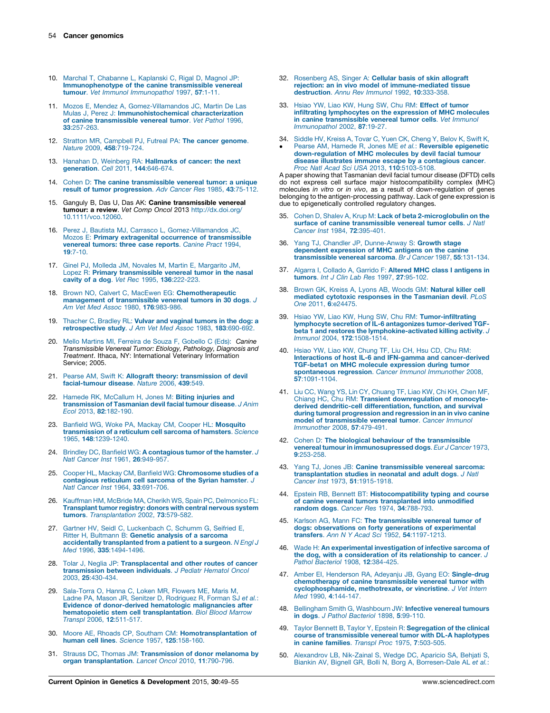- <span id="page-5-0"></span>10. Marchal T, [Chabanne](http://refhub.elsevier.com/S0959-437X(15)00026-X/sbref0050) L, Kaplanski C, Rigal D, Magnol JP: [Immunophenotype](http://refhub.elsevier.com/S0959-437X(15)00026-X/sbref0050) of the canine transmissible venereal tumour. Vet Immunol [Immunopathol](http://refhub.elsevier.com/S0959-437X(15)00026-X/sbref0050) 1997, 57:1-11.
- 11. Mozos E, Mendez A, [Gomez-Villamandos](http://refhub.elsevier.com/S0959-437X(15)00026-X/sbref0055) JC, Martin De Las Mulas J, Perez J: [Immunohistochemical](http://refhub.elsevier.com/S0959-437X(15)00026-X/sbref0055) characterization of canine [transmissible](http://refhub.elsevier.com/S0959-437X(15)00026-X/sbref0055) venereal tumor. Vet Pathol 1996, 33[:257-263.](http://refhub.elsevier.com/S0959-437X(15)00026-X/sbref0055)
- 12. Stratton MR, [Campbell](http://refhub.elsevier.com/S0959-437X(15)00026-X/sbref0060) PJ, Futreal PA: The cancer genome. Nature 2009, 458[:719-724.](http://refhub.elsevier.com/S0959-437X(15)00026-X/sbref0060)
- 13. Hanahan D, Weinberg RA: [Hallmarks](http://refhub.elsevier.com/S0959-437X(15)00026-X/sbref0065) of cancer: the next [generation](http://refhub.elsevier.com/S0959-437X(15)00026-X/sbref0065). Cell 2011, 144:646-674.
- 14. Cohen D: The canine [transmissible](http://refhub.elsevier.com/S0959-437X(15)00026-X/sbref0070) venereal tumor: a unique result of tumor [progression](http://refhub.elsevier.com/S0959-437X(15)00026-X/sbref0070). Adv Cancer Res 1985, 43:75-112.
- 15. Ganguly B, Das U, Das AK: Canine transmissible venereal tumour: a review. Vet Comp Oncol 2013 [http://dx.doi.org/](http://dx.doi.org/10.1111/vco.12060) [10.1111/vco.12060](http://dx.doi.org/10.1111/vco.12060).
- 16. Perez J, Bautista MJ, Carrasco L, [Gomez-Villamandos](http://refhub.elsevier.com/S0959-437X(15)00026-X/sbref0080) JC, Mozos E: Primary extragenital occurrence of [transmissible](http://refhub.elsevier.com/S0959-437X(15)00026-X/sbref0080) [venereal](http://refhub.elsevier.com/S0959-437X(15)00026-X/sbref0080) tumors: three case reports. Canine Pract 1994, 19[:7-10.](http://refhub.elsevier.com/S0959-437X(15)00026-X/sbref0080)
- 17. Ginel PJ, Molleda JM, Novales M, Martin E, [Margarito](http://refhub.elsevier.com/S0959-437X(15)00026-X/sbref0085) JM, Lopez R: Primary [transmissible](http://refhub.elsevier.com/S0959-437X(15)00026-X/sbref0085) venereal tumor in the nasal cavity of a dog. Vet Rec 1995, 136[:222-223.](http://refhub.elsevier.com/S0959-437X(15)00026-X/sbref0085)
- 18. Brown NO, Calvert C, MacEwen EG: [Chemotherapeutic](http://refhub.elsevier.com/S0959-437X(15)00026-X/sbref0090) management of [transmissible](http://refhub.elsevier.com/S0959-437X(15)00026-X/sbref0090) venereal tumors in 30 dogs. J Am Vet Med Assoc 1980, 176[:983-986.](http://refhub.elsevier.com/S0959-437X(15)00026-X/sbref0090)
- 19. [Thacher](http://refhub.elsevier.com/S0959-437X(15)00026-X/sbref0095) C, Bradley RL: Vulvar and vaginal tumors in the dog: a [retrospective](http://refhub.elsevier.com/S0959-437X(15)00026-X/sbref0095) study. J Am Vet Med Assoc 1983, 183:690-692.
- 20. Mello Martins MI, Ferreira de Souza F, [Gobello](http://refhub.elsevier.com/S0959-437X(15)00026-X/sbref0100) C (Eds): Canine [Transmissible](http://refhub.elsevier.com/S0959-437X(15)00026-X/sbref0100) Venereal Tumor: Etiology, Pathology, Diagnosis and [Treatment](http://refhub.elsevier.com/S0959-437X(15)00026-X/sbref0100). Ithaca, NY: International Veterinary Information Service; 2005.
- 21. Pearse AM, Swift K: Allograft theory: [transmission](http://refhub.elsevier.com/S0959-437X(15)00026-X/sbref0105) of devil [facial-tumour](http://refhub.elsevier.com/S0959-437X(15)00026-X/sbref0105) disease. Nature 2006, 439:549.
- 22. Hamede RK, [McCallum](http://refhub.elsevier.com/S0959-437X(15)00026-X/sbref0110) H, Jones M: Biting injuries and [transmission](http://refhub.elsevier.com/S0959-437X(15)00026-X/sbref0110) of Tasmanian devil facial tumour disease. J Anim Ecol 2013, 82[:182-190.](http://refhub.elsevier.com/S0959-437X(15)00026-X/sbref0110)
- 23. Banfield WG, Woke PA, Mackay CM, Cooper HL: [Mosquito](http://refhub.elsevier.com/S0959-437X(15)00026-X/sbref0115) [transmission](http://refhub.elsevier.com/S0959-437X(15)00026-X/sbref0115) of a reticulum cell sarcoma of hamsters. Science 1965, 148[:1239-1240.](http://refhub.elsevier.com/S0959-437X(15)00026-X/sbref0115)
- 24. Brindley DC, Banfield WG: A [contagious](http://refhub.elsevier.com/S0959-437X(15)00026-X/sbref0120) tumor of the hamster. J Natl Cancer Inst 1961, 26[:949-957.](http://refhub.elsevier.com/S0959-437X(15)00026-X/sbref0120)
- 25. Cooper HL, Mackay CM, Banfield WG: [Chromosome](http://refhub.elsevier.com/S0959-437X(15)00026-X/sbref0125) studies of a [contagious](http://refhub.elsevier.com/S0959-437X(15)00026-X/sbref0125) reticulum cell sarcoma of the Syrian hamster. J Natl Cancer Inst 1964, 33[:691-706.](http://refhub.elsevier.com/S0959-437X(15)00026-X/sbref0125)
- 26. Kauffman HM, McBride MA, Cherikh WS, Spain PC, [Delmonico](http://refhub.elsevier.com/S0959-437X(15)00026-X/sbref0130) FL: Transplant [tumorregistry:](http://refhub.elsevier.com/S0959-437X(15)00026-X/sbref0130) donors with central nervous system tumors. [Transplantation](http://refhub.elsevier.com/S0959-437X(15)00026-X/sbref0130) 2002, 73:579-582.
- 27. Gartner HV, Seidl C, [Luckenbach](http://refhub.elsevier.com/S0959-437X(15)00026-X/sbref0135) C, Schumm G, Seifried E, Ritter H, [Bultmann](http://refhub.elsevier.com/S0959-437X(15)00026-X/sbref0135) B: Genetic analysis of a sarcoma **accidentally [transplanted](http://refhub.elsevier.com/S0959-437X(15)00026-X/sbref0135) from a patient to a surgeon**. *N Engl J*<br>*Med 1*996, **335**[:1494-1496.](http://refhub.elsevier.com/S0959-437X(15)00026-X/sbref0135)
- 28. Tolar J, Neglia JP: [Transplacental](http://refhub.elsevier.com/S0959-437X(15)00026-X/sbref0140) and other routes of cancer [transmission](http://refhub.elsevier.com/S0959-437X(15)00026-X/sbref0140) between individuals. J Pediatr Hematol Oncol 2003, 25[:430-434.](http://refhub.elsevier.com/S0959-437X(15)00026-X/sbref0140)
- 29. [Sala-Torra](http://refhub.elsevier.com/S0959-437X(15)00026-X/sbref0145) O, Hanna C, Loken MR, Flowers ME, Maris M, Ladne PA, Mason JR, Senitzer D, [Rodriguez](http://refhub.elsevier.com/S0959-437X(15)00026-X/sbref0145) R, Forman SJ et al.: Evidence of [donor-derived](http://refhub.elsevier.com/S0959-437X(15)00026-X/sbref0145) hematologic malignancies after hematopoietic stem cell [transplantation](http://refhub.elsevier.com/S0959-437X(15)00026-X/sbref0145). Biol Blood Marrow Transpl 2006, 12[:511-517.](http://refhub.elsevier.com/S0959-437X(15)00026-X/sbref0145)
- 30. Moore AE, Rhoads CP, Southam CM: [Homotransplantation](http://refhub.elsevier.com/S0959-437X(15)00026-X/sbref0150) of human cell lines. Science 1957, 125[:158-160.](http://refhub.elsevier.com/S0959-437X(15)00026-X/sbref0150)
- 31. Strauss DC, Thomas JM: [Transmission](http://refhub.elsevier.com/S0959-437X(15)00026-X/sbref0155) of donor melanoma by organ [transplantation](http://refhub.elsevier.com/S0959-437X(15)00026-X/sbref0155). Lancet Oncol 2010, 11:790-796.
- 32. [Rosenberg](http://refhub.elsevier.com/S0959-437X(15)00026-X/sbref0160) AS, Singer A: Cellular basis of skin allograft rejection: an in vivo model of [immune-mediated](http://refhub.elsevier.com/S0959-437X(15)00026-X/sbref0160) tissue [destruction](http://refhub.elsevier.com/S0959-437X(15)00026-X/sbref0160). Annu Rev Immunol 1992, 10:333-358.
- 33. Hsiao YW, Liao KW, Hung SW, Chu RM: Effect of [tumor](http://refhub.elsevier.com/S0959-437X(15)00026-X/sbref0165) infiltrating [lymphocytes](http://refhub.elsevier.com/S0959-437X(15)00026-X/sbref0165) on the expression of MHC molecules in canine [transmissible](http://refhub.elsevier.com/S0959-437X(15)00026-X/sbref0165) venereal tumor cells. Vet Immunol [Immunopathol](http://refhub.elsevier.com/S0959-437X(15)00026-X/sbref0165) 2002, 87:19-27.
- 34. Siddle HV, Kreiss A, Tovar C, Yuen CK, [Cheng](http://refhub.elsevier.com/S0959-437X(15)00026-X/sbref0170) Y, Belov K, Swift K,
- -Pearse AM, Hamede R, Jones ME et al.: [Reversible](http://refhub.elsevier.com/S0959-437X(15)00026-X/sbref0170) epigenetic [down-regulation](http://refhub.elsevier.com/S0959-437X(15)00026-X/sbref0170) of MHC molecules by devil facial tumour disease illustrates immune escape by a [contagious](http://refhub.elsevier.com/S0959-437X(15)00026-X/sbref0170) cancer. Proc Natl Acad Sci USA 2013, 110[:5103-5108.](http://refhub.elsevier.com/S0959-437X(15)00026-X/sbref0170)

A paper showing that Tasmanian devil facial tumour disease (DFTD) cells do not express cell surface major histocompatibility complex (MHC) molecules in vitro or in vivo, as a result of down-regulation of genes belonging to the antigen-processing pathway. Lack of gene expression is due to epigenetically controlled regulatory changes.

- 35. Cohen D, Shalev A, Krup M: Lack of beta [2-microglobulin](http://refhub.elsevier.com/S0959-437X(15)00026-X/sbref0175) on the surface of canine [transmissible](http://refhub.elsevier.com/S0959-437X(15)00026-X/sbref0175) venereal tumor cells. J Natl Cancer Inst 1984, 72[:395-401.](http://refhub.elsevier.com/S0959-437X(15)00026-X/sbref0175)
- 36. Yang TJ, Chandler JP, [Dunne-Anway](http://refhub.elsevier.com/S0959-437X(15)00026-X/sbref0180) S: Growth stage dependent [expression](http://refhub.elsevier.com/S0959-437X(15)00026-X/sbref0180) of MHC antigens on the canine [transmissible](http://refhub.elsevier.com/S0959-437X(15)00026-X/sbref0180) venereal sarcoma. Br J Cancer 1987, 55:131-134.
- 37. Algarra I, Collado A, Garrido F: Altered MHC class I [antigens](http://refhub.elsevier.com/S0959-437X(15)00026-X/sbref0185) in tumors. Int J Clin Lab Res 1997, 27[:95-102.](http://refhub.elsevier.com/S0959-437X(15)00026-X/sbref0185)
- 38. Brown GK, Kreiss A, Lyons AB, Woods GM: [Natural](http://refhub.elsevier.com/S0959-437X(15)00026-X/sbref0190) killer cell mediated cytotoxic responses in the [Tasmanian](http://refhub.elsevier.com/S0959-437X(15)00026-X/sbref0190) devil. PLoS One 2011, 6[:e24475.](http://refhub.elsevier.com/S0959-437X(15)00026-X/sbref0190)
- 39. Hsiao YW, Liao KW, Hung SW, Chu RM: [Tumor-infiltrating](http://refhub.elsevier.com/S0959-437X(15)00026-X/sbref0195) lymphocyte secretion of IL-6 antagonizes [tumor-derived](http://refhub.elsevier.com/S0959-437X(15)00026-X/sbref0195) TGFbeta 1 and restores the [lymphokine-activated](http://refhub.elsevier.com/S0959-437X(15)00026-X/sbref0195) killing activity. J Immunol 2004, 172[:1508-1514.](http://refhub.elsevier.com/S0959-437X(15)00026-X/sbref0195)
- 40. Hsiao YW, Liao KW, [Chung](http://refhub.elsevier.com/S0959-437X(15)00026-X/sbref0200) TF, Liu CH, Hsu CD, Chu RM: Interactions of host IL-6 and IFN-gamma and [cancer-derived](http://refhub.elsevier.com/S0959-437X(15)00026-X/sbref0200) TGF-beta1 on MHC molecule [expression](http://refhub.elsevier.com/S0959-437X(15)00026-X/sbref0200) during tumor [spontaneous](http://refhub.elsevier.com/S0959-437X(15)00026-X/sbref0200) regression. Cancer Immunol Immunother 2008, 57[:1091-1104.](http://refhub.elsevier.com/S0959-437X(15)00026-X/sbref0200)
- 41. Liu CC, Wang YS, Lin CY, [Chuang](http://refhub.elsevier.com/S0959-437X(15)00026-X/sbref0205) TF, Liao KW, Chi KH, Chen MF,<br>Chiang HC, Chu RM: Transient [downregulation](http://refhub.elsevier.com/S0959-437X(15)00026-X/sbref0205) of monocytederived dendritic-cell [differentiation,](http://refhub.elsevier.com/S0959-437X(15)00026-X/sbref0205) function, and survival during tumoral [progression](http://refhub.elsevier.com/S0959-437X(15)00026-X/sbref0205) and regression in an in vivo canine model of [transmissible](http://refhub.elsevier.com/S0959-437X(15)00026-X/sbref0205) venereal tumor. Cancer Immunol [Immunother](http://refhub.elsevier.com/S0959-437X(15)00026-X/sbref0205) 2008, 57:479-491.
- 42. Cohen D: The biological behaviour of the [transmissible](http://refhub.elsevier.com/S0959-437X(15)00026-X/sbref0210) venereal tumour in [immunosupressed](http://refhub.elsevier.com/S0959-437X(15)00026-X/sbref0210) dogs. Eur J Cancer 1973, 9[:253-258.](http://refhub.elsevier.com/S0959-437X(15)00026-X/sbref0210)
- 43. Yang TJ, Jones JB: Canine [transmissible](http://refhub.elsevier.com/S0959-437X(15)00026-X/sbref0215) venereal sarcoma: [transplantation](http://refhub.elsevier.com/S0959-437X(15)00026-X/sbref0215) studies in neonatal and adult dogs. J Natl Cancer Inst 1973, 51[:1915-1918.](http://refhub.elsevier.com/S0959-437X(15)00026-X/sbref0215)
- 44. Epstein RB, Bennett BT: [Histocompatibility](http://refhub.elsevier.com/S0959-437X(15)00026-X/sbref0220) typing and course of canine venereal tumors [transplanted](http://refhub.elsevier.com/S0959-437X(15)00026-X/sbref0220) into unmodified random dogs. Cancer Res 1974, 34[:788-793.](http://refhub.elsevier.com/S0959-437X(15)00026-X/sbref0220)
- 45. Karlson AG, Mann FC: The [transmissible](http://refhub.elsevier.com/S0959-437X(15)00026-X/sbref0225) venereal tumor of dogs: [observations](http://refhub.elsevier.com/S0959-437X(15)00026-X/sbref0225) on forty generations of experimental<br>transfers. Ann N Y Acad Sci 1952, 54[:1197-1213.](http://refhub.elsevier.com/S0959-437X(15)00026-X/sbref0225)
- 46. Wade H: An [experimental](http://refhub.elsevier.com/S0959-437X(15)00026-X/sbref0230) investigation of infective sarcoma of the dog, with a [consideration](http://refhub.elsevier.com/S0959-437X(15)00026-X/sbref0230) of its relationship to cancer. J Pathol Bacteriol 1908, 12[:384-425.](http://refhub.elsevier.com/S0959-437X(15)00026-X/sbref0230)
- 47. Amber EI, Henderson RA, Adeyanju JB, Gyang EO: [Single-drug](http://refhub.elsevier.com/S0959-437X(15)00026-X/sbref0235) [chemotherapy](http://refhub.elsevier.com/S0959-437X(15)00026-X/sbref0235) of canine transmissible venereal tumor with [cyclophosphamide,](http://refhub.elsevier.com/S0959-437X(15)00026-X/sbref0235) methotrexate, or vincristine. J Vet Intern Med 1990, 4[:144-147.](http://refhub.elsevier.com/S0959-437X(15)00026-X/sbref0235)
- 48. Bellingham Smith G, [Washbourn](http://refhub.elsevier.com/S0959-437X(15)00026-X/sbref0240) JW: Infective venereal tumours in dogs. J Pathol [Bacteriol](http://refhub.elsevier.com/S0959-437X(15)00026-X/sbref0240) 1898, 5:99-110.
- 49. Taylor Bennett B, Taylor Y, Epstein R: [Segregation](http://refhub.elsevier.com/S0959-437X(15)00026-X/sbref0245) of the clinical course of [transmissible](http://refhub.elsevier.com/S0959-437X(15)00026-X/sbref0245) venereal tumor with DL-A haplotypes in canine families. Transpl Proc 1975, 7[:503-505.](http://refhub.elsevier.com/S0959-437X(15)00026-X/sbref0245)
- 50. [Alexandrov](http://refhub.elsevier.com/S0959-437X(15)00026-X/sbref0250) LB, Nik-Zainal S, Wedge DC, Aparicio SA, Behjati S, Biankin AV, Bignell GR, Bolli N, Borg A, [Borresen-Dale](http://refhub.elsevier.com/S0959-437X(15)00026-X/sbref0250) AL et al.: